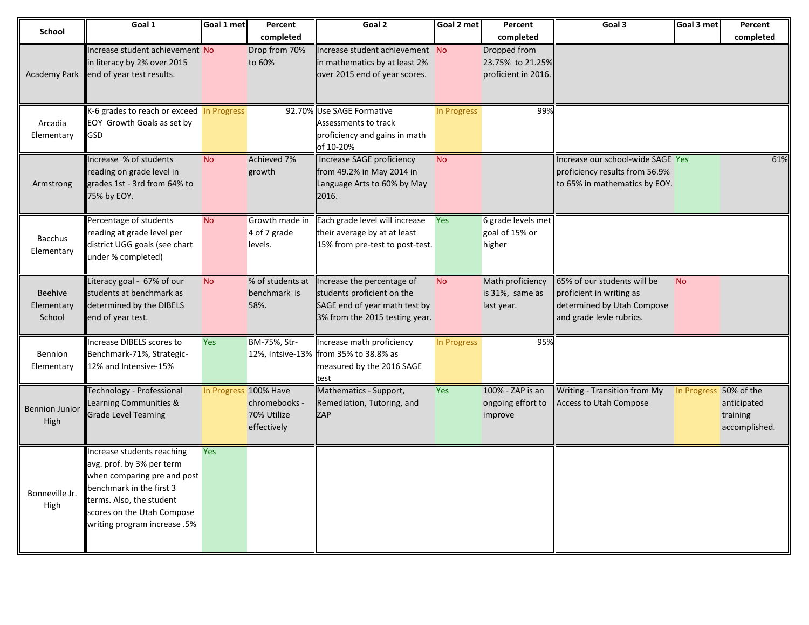| <b>School</b>                   | Goal 1                                                                                                                                                                                                       | Goal 1 met | Percent                                                              | Goal 2                                                                                                                      | Goal 2 met  | Percent                                                              | Goal 3                                                                                                            | Goal 3 met             | Percent                                  |
|---------------------------------|--------------------------------------------------------------------------------------------------------------------------------------------------------------------------------------------------------------|------------|----------------------------------------------------------------------|-----------------------------------------------------------------------------------------------------------------------------|-------------|----------------------------------------------------------------------|-------------------------------------------------------------------------------------------------------------------|------------------------|------------------------------------------|
| <b>Academy Park</b>             | Increase student achievement No<br>in literacy by 2% over 2015<br>end of year test results.                                                                                                                  |            | completed<br>Drop from 70%<br>to 60%                                 | Increase student achievement No<br>in mathematics by at least 2%<br>over 2015 end of year scores.                           |             | completed<br>Dropped from<br>23.75% to 21.25%<br>proficient in 2016. |                                                                                                                   |                        | completed                                |
| Arcadia<br>Elementary           | K-6 grades to reach or exceed In Progress<br>EOY Growth Goals as set by<br>GSD                                                                                                                               |            |                                                                      | 92.70% Use SAGE Formative<br>Assessments to track<br>proficiency and gains in math<br>of 10-20%                             | In Progress | 99%                                                                  |                                                                                                                   |                        |                                          |
| Armstrong                       | Increase % of students<br>reading on grade level in<br>grades 1st - 3rd from 64% to<br>75% by EOY.                                                                                                           | <b>No</b>  | Achieved 7%<br>growth                                                | <b>Increase SAGE proficiency</b><br>from 49.2% in May 2014 in<br>Language Arts to 60% by May<br>2016.                       | <b>No</b>   |                                                                      | Increase our school-wide SAGE Yes<br>proficiency results from 56.9%<br>to 65% in mathematics by EOY.              |                        | 61%                                      |
| <b>Bacchus</b><br>Elementary    | Percentage of students<br>reading at grade level per<br>district UGG goals (see chart<br>under % completed)                                                                                                  | <b>No</b>  | Growth made in<br>4 of 7 grade<br>levels.                            | Each grade level will increase<br>their average by at at least<br>15% from pre-test to post-test.                           | Yes         | 6 grade levels met<br>goal of 15% or<br>higher                       |                                                                                                                   |                        |                                          |
| Beehive<br>Elementary<br>School | Literacy goal - 67% of our<br>students at benchmark as<br>determined by the DIBELS<br>end of year test.                                                                                                      | No         | % of students at<br>benchmark is<br>58%.                             | Increase the percentage of<br>students proficient on the<br>SAGE end of year math test by<br>3% from the 2015 testing year. | <b>No</b>   | Math proficiency<br>is 31%, same as<br>last year.                    | 65% of our students will be<br>proficient in writing as<br>determined by Utah Compose<br>and grade levle rubrics. | <b>No</b>              |                                          |
| Bennion<br>Elementary           | Increase DIBELS scores to<br>Benchmark-71%, Strategic-<br>12% and Intensive-15%                                                                                                                              | <b>Yes</b> | BM-75%, Str-<br>12%, Intsive-13%                                     | Increase math proficiency<br>from 35% to 38.8% as<br>measured by the 2016 SAGE<br>test                                      | In Progress | 95%                                                                  |                                                                                                                   |                        |                                          |
| <b>Bennion Junior</b><br>High   | <b>Technology - Professional</b><br>Learning Communities &<br><b>Grade Level Teaming</b>                                                                                                                     |            | In Progress 100% Have<br>chromebooks -<br>70% Utilize<br>effectively | Mathematics - Support,<br>Remediation, Tutoring, and<br><b>ZAP</b>                                                          | Yes         | 100% - ZAP is an<br>ongoing effort to<br>improve                     | Writing - Transition from My<br><b>Access to Utah Compose</b>                                                     | In Progress 50% of the | anticipated<br>training<br>accomplished. |
| Bonneville Jr.<br>High          | Increase students reaching<br>avg. prof. by 3% per term<br>when comparing pre and post<br>benchmark in the first 3<br>terms. Also, the student<br>scores on the Utah Compose<br>writing program increase .5% | Yes        |                                                                      |                                                                                                                             |             |                                                                      |                                                                                                                   |                        |                                          |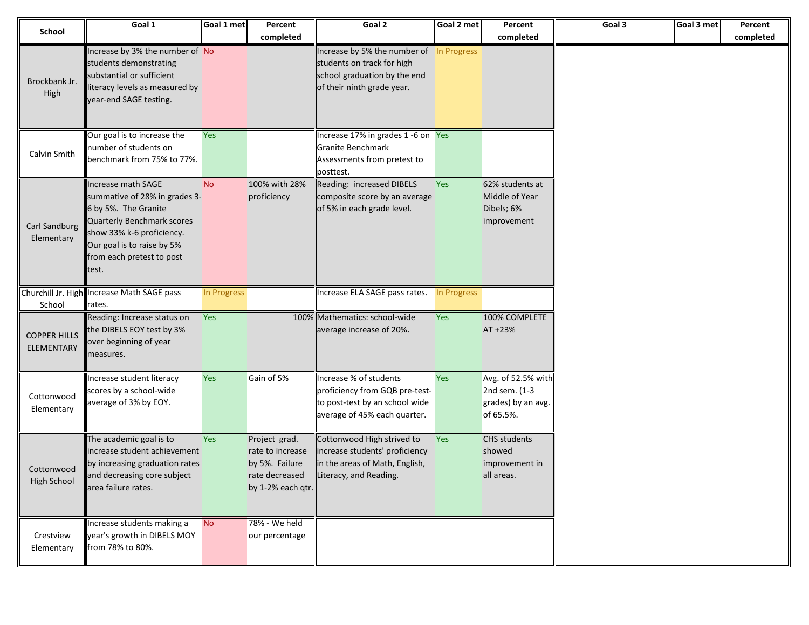| School                            | Goal 1                                                                                                                                                                                                            | Goal 1 met  | Percent                                                                                    | Goal 2                                                                                                                               | Goal 2 met  | Percent                                                                | Goal 3 | Goal 3 met | Percent   |
|-----------------------------------|-------------------------------------------------------------------------------------------------------------------------------------------------------------------------------------------------------------------|-------------|--------------------------------------------------------------------------------------------|--------------------------------------------------------------------------------------------------------------------------------------|-------------|------------------------------------------------------------------------|--------|------------|-----------|
|                                   |                                                                                                                                                                                                                   |             | completed                                                                                  |                                                                                                                                      |             | completed                                                              |        |            | completed |
| Brockbank Jr.<br>High             | Increase by 3% the number of No<br>students demonstrating<br>substantial or sufficient<br>literacy levels as measured by<br>year-end SAGE testing.                                                                |             |                                                                                            | Increase by 5% the number of In Progress<br>students on track for high<br>school graduation by the end<br>of their ninth grade year. |             |                                                                        |        |            |           |
| Calvin Smith                      | Our goal is to increase the<br>number of students on<br>benchmark from 75% to 77%.                                                                                                                                | Yes         |                                                                                            | Increase 17% in grades 1-6 on Yes<br>Granite Benchmark<br>Assessments from pretest to<br>posttest.                                   |             |                                                                        |        |            |           |
| Carl Sandburg<br>Elementary       | Increase math SAGE<br>summative of 28% in grades 3-<br>6 by 5%. The Granite<br><b>Quarterly Benchmark scores</b><br>show 33% k-6 proficiency.<br>Our goal is to raise by 5%<br>from each pretest to post<br>test. | <b>No</b>   | 100% with 28%<br>proficiency                                                               | Reading: increased DIBELS<br>composite score by an average<br>of 5% in each grade level.                                             | Yes         | 62% students at<br>Middle of Year<br>Dibels; 6%<br>improvement         |        |            |           |
| Churchill Jr. High<br>School      | Increase Math SAGE pass<br>rates.                                                                                                                                                                                 | In Progress |                                                                                            | Increase ELA SAGE pass rates.                                                                                                        | In Progress |                                                                        |        |            |           |
| <b>COPPER HILLS</b><br>ELEMENTARY | Reading: Increase status on<br>the DIBELS EOY test by 3%<br>over beginning of year<br>measures.                                                                                                                   | Yes         |                                                                                            | 100% Mathematics: school-wide<br>average increase of 20%.                                                                            | Yes         | 100% COMPLETE<br>AT +23%                                               |        |            |           |
| Cottonwood<br>Elementary          | Increase student literacy<br>scores by a school-wide<br>average of 3% by EOY.                                                                                                                                     | Yes         | Gain of 5%                                                                                 | Increase % of students<br>proficiency from GQB pre-test-<br>to post-test by an school wide<br>average of 45% each quarter.           | Yes         | Avg. of 52.5% with<br>2nd sem. (1-3<br>grades) by an avg.<br>of 65.5%. |        |            |           |
| Cottonwood<br>High School         | The academic goal is to<br>increase student achievement<br>by increasing graduation rates<br>and decreasing core subject<br>area failure rates.                                                                   | Yes         | Project grad.<br>rate to increase<br>by 5%. Failure<br>rate decreased<br>by 1-2% each qtr. | Cottonwood High strived to<br>increase students' proficiency<br>in the areas of Math, English,<br>Literacy, and Reading.             | Yes         | CHS students<br>showed<br>improvement in<br>all areas.                 |        |            |           |
| Crestview<br>Elementary           | Increase students making a<br>year's growth in DIBELS MOY<br>from 78% to 80%.                                                                                                                                     | <b>No</b>   | 78% - We held<br>our percentage                                                            |                                                                                                                                      |             |                                                                        |        |            |           |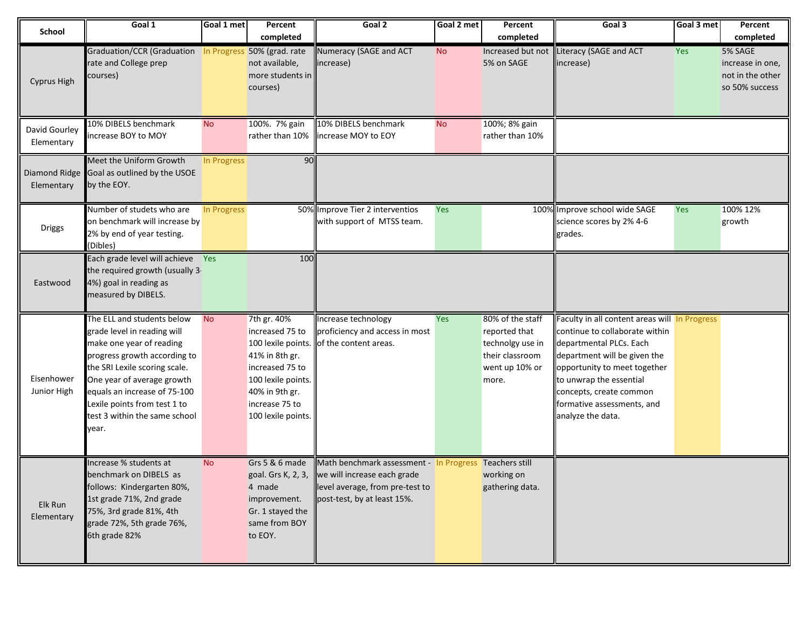| <b>School</b>               | Goal 1                                                                                                                                                                                                                                                                                         | Goal 1 met  | Percent                                                                                                                                                                   | Goal 2                                                                                                                                                  | Goal 2 met | Percent                                                                                             | Goal 3                                                                                                                                                                                                                                                                              | Goal 3 met | Percent                                                           |
|-----------------------------|------------------------------------------------------------------------------------------------------------------------------------------------------------------------------------------------------------------------------------------------------------------------------------------------|-------------|---------------------------------------------------------------------------------------------------------------------------------------------------------------------------|---------------------------------------------------------------------------------------------------------------------------------------------------------|------------|-----------------------------------------------------------------------------------------------------|-------------------------------------------------------------------------------------------------------------------------------------------------------------------------------------------------------------------------------------------------------------------------------------|------------|-------------------------------------------------------------------|
|                             |                                                                                                                                                                                                                                                                                                |             | completed                                                                                                                                                                 |                                                                                                                                                         |            | completed                                                                                           |                                                                                                                                                                                                                                                                                     |            | completed                                                         |
| <b>Cyprus High</b>          | Graduation/CCR (Graduation In Progress 50% (grad. rate<br>rate and College prep<br>courses)                                                                                                                                                                                                    |             | not available,<br>more students in<br>courses)                                                                                                                            | Numeracy (SAGE and ACT<br>increase)                                                                                                                     | <b>No</b>  | Increased but not<br>5% on SAGE                                                                     | Literacy (SAGE and ACT<br>increase)                                                                                                                                                                                                                                                 | <b>Yes</b> | 5% SAGE<br>increase in one,<br>not in the other<br>so 50% success |
| David Gourley<br>Elementary | 10% DIBELS benchmark<br>increase BOY to MOY                                                                                                                                                                                                                                                    | <b>No</b>   | 100%. 7% gain<br>rather than 10%                                                                                                                                          | 10% DIBELS benchmark<br>increase MOY to EOY                                                                                                             | <b>No</b>  | 100%; 8% gain<br>rather than 10%                                                                    |                                                                                                                                                                                                                                                                                     |            |                                                                   |
| Elementary                  | Meet the Uniform Growth<br>Diamond Ridge Goal as outlined by the USOE<br>by the EOY.                                                                                                                                                                                                           | In Progress | 90                                                                                                                                                                        |                                                                                                                                                         |            |                                                                                                     |                                                                                                                                                                                                                                                                                     |            |                                                                   |
| <b>Driggs</b>               | Number of studets who are<br>on benchmark will increase by<br>2% by end of year testing.<br>(Dibles)                                                                                                                                                                                           | In Progress |                                                                                                                                                                           | 50% Improve Tier 2 interventios<br>with support of MTSS team.                                                                                           | Yes        |                                                                                                     | 100% Improve school wide SAGE<br>science scores by 2% 4-6<br>grades.                                                                                                                                                                                                                | Yes        | 100% 12%<br>growth                                                |
| Eastwood                    | Each grade level will achieve Yes<br>the required growth (usually 3-<br>4%) goal in reading as<br>measured by DIBELS.                                                                                                                                                                          |             | 100                                                                                                                                                                       |                                                                                                                                                         |            |                                                                                                     |                                                                                                                                                                                                                                                                                     |            |                                                                   |
| Eisenhower<br>Junior High   | The ELL and students below<br>grade level in reading will<br>make one year of reading<br>progress growth according to<br>the SRI Lexile scoring scale.<br>One year of average growth<br>equals an increase of 75-100<br>Lexile points from test 1 to<br>test 3 within the same school<br>year. | <b>No</b>   | 7th gr. 40%<br>increased 75 to<br>100 lexile points.<br>41% in 8th gr.<br>increased 75 to<br>100 lexile points.<br>40% in 9th gr.<br>increase 75 to<br>100 lexile points. | Increase technology<br>proficiency and access in most<br>of the content areas.                                                                          | <b>Yes</b> | 80% of the staff<br>reported that<br>technolgy use in<br>their classroom<br>went up 10% or<br>more. | Faculty in all content areas will In Progress<br>continue to collaborate within<br>departmental PLCs. Each<br>department will be given the<br>opportunity to meet together<br>to unwrap the essential<br>concepts, create common<br>formative assessments, and<br>analyze the data. |            |                                                                   |
| Elk Run<br>Elementary       | Increase % students at<br>benchmark on DIBELS as<br>follows: Kindergarten 80%,<br>1st grade 71%, 2nd grade<br>75%, 3rd grade 81%, 4th<br>grade 72%, 5th grade 76%,<br>6th grade 82%                                                                                                            | <b>No</b>   | Grs 5 & 6 made<br>goal. Grs K, 2, 3,<br>4 made<br>improvement.<br>Gr. 1 stayed the<br>same from BOY<br>to EOY.                                                            | Math benchmark assessment - In Progress Teachers still<br>we will increase each grade<br>level average, from pre-test to<br>post-test, by at least 15%. |            | working on<br>gathering data.                                                                       |                                                                                                                                                                                                                                                                                     |            |                                                                   |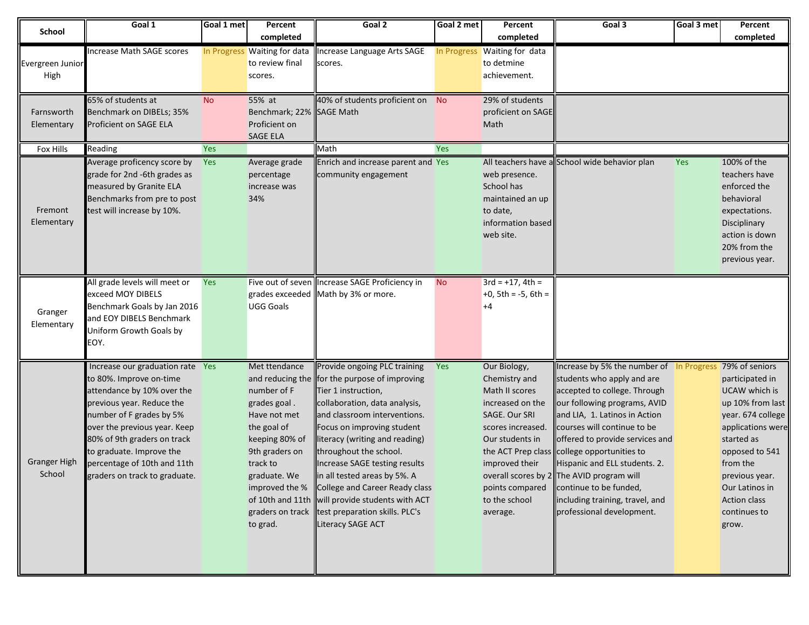| <b>School</b>       | Goal 1                           | Goal 1 met | Percent                      | Goal 2                                          | Goal 2 met | Percent                      | Goal 3                                        | Goal 3 met | Percent           |
|---------------------|----------------------------------|------------|------------------------------|-------------------------------------------------|------------|------------------------------|-----------------------------------------------|------------|-------------------|
|                     |                                  |            | completed                    |                                                 |            | completed                    |                                               |            | completed         |
|                     | Increase Math SAGE scores        |            | In Progress Waiting for data | Increase Language Arts SAGE                     |            | In Progress Waiting for data |                                               |            |                   |
| Evergreen Junior    |                                  |            | to review final              | scores.                                         |            | to detmine                   |                                               |            |                   |
| High                |                                  |            | scores.                      |                                                 |            | achievement.                 |                                               |            |                   |
|                     |                                  |            |                              |                                                 |            |                              |                                               |            |                   |
|                     | 65% of students at               | <b>No</b>  | 55% at                       | 40% of students proficient on No                |            | 29% of students              |                                               |            |                   |
| Farnsworth          | Benchmark on DIBELs; 35%         |            | Benchmark; 22% SAGE Math     |                                                 |            | proficient on SAGE           |                                               |            |                   |
| Elementary          | Proficient on SAGE ELA           |            | Proficient on                |                                                 |            | Math                         |                                               |            |                   |
|                     |                                  |            | SAGE ELA                     |                                                 |            |                              |                                               |            |                   |
| Fox Hills           | Reading                          | <b>Yes</b> |                              | Math                                            | Yes        |                              |                                               |            |                   |
|                     | Average proficency score by      | Yes        | Average grade                | Enrich and increase parent and Yes              |            |                              | All teachers have a School wide behavior plan | Yes        | 100% of the       |
|                     | grade for 2nd -6th grades as     |            | percentage                   | community engagement                            |            | web presence.                |                                               |            | teachers have     |
|                     | measured by Granite ELA          |            | increase was                 |                                                 |            | School has                   |                                               |            | enforced the      |
|                     | Benchmarks from pre to post      |            | 34%                          |                                                 |            | maintained an up             |                                               |            | behavioral        |
| Fremont             | test will increase by 10%.       |            |                              |                                                 |            | to date,                     |                                               |            | expectations.     |
| Elementary          |                                  |            |                              |                                                 |            | information based            |                                               |            | Disciplinary      |
|                     |                                  |            |                              |                                                 |            | web site.                    |                                               |            | action is down    |
|                     |                                  |            |                              |                                                 |            |                              |                                               |            | 20% from the      |
|                     |                                  |            |                              |                                                 |            |                              |                                               |            | previous year.    |
|                     |                                  |            |                              |                                                 |            |                              |                                               |            |                   |
|                     | All grade levels will meet or    | Yes        |                              | Five out of seven Increase SAGE Proficiency in  | <b>No</b>  | $3rd = +17$ , $4th =$        |                                               |            |                   |
|                     | exceed MOY DIBELS                |            |                              | grades exceeded Math by 3% or more.             |            | $+0$ , 5th = $-5$ , 6th =    |                                               |            |                   |
| Granger             | Benchmark Goals by Jan 2016      |            | <b>UGG Goals</b>             |                                                 |            | $+4$                         |                                               |            |                   |
| Elementary          | and EOY DIBELS Benchmark         |            |                              |                                                 |            |                              |                                               |            |                   |
|                     | Uniform Growth Goals by          |            |                              |                                                 |            |                              |                                               |            |                   |
|                     | EOY.                             |            |                              |                                                 |            |                              |                                               |            |                   |
|                     | Increase our graduation rate Yes |            | Met ttendance                | Provide ongoing PLC training                    | Yes        | Our Biology,                 | Increase by 5% the number of In Progress      |            | 79% of seniors    |
|                     | to 80%. Improve on-time          |            |                              | and reducing the for the purpose of improving   |            | Chemistry and                | students who apply and are                    |            | participated in   |
|                     | attendance by 10% over the       |            | number of F                  | Tier 1 instruction,                             |            | Math II scores               | accepted to college. Through                  |            | UCAW which is     |
|                     | previous year. Reduce the        |            | grades goal.                 | collaboration, data analysis,                   |            | increased on the             | our following programs, AVID                  |            | up 10% from last  |
|                     | number of F grades by 5%         |            | Have not met                 | and classroom interventions.                    |            | SAGE. Our SRI                | and LIA, 1. Latinos in Action                 |            | year. 674 college |
|                     | over the previous year. Keep     |            | the goal of                  | Focus on improving student                      |            | scores increased.            | courses will continue to be                   |            | applications were |
|                     | 80% of 9th graders on track      |            | keeping 80% of               | literacy (writing and reading)                  |            | Our students in              | offered to provide services and               |            | started as        |
|                     | to graduate. Improve the         |            | 9th graders on               | throughout the school.                          |            |                              | the ACT Prep class college opportunities to   |            | opposed to 541    |
| <b>Granger High</b> | percentage of 10th and 11th      |            | track to                     | Increase SAGE testing results                   |            | improved their               | Hispanic and ELL students. 2.                 |            | from the          |
| School              | graders on track to graduate.    |            | graduate. We                 | lin all tested areas by 5%. A                   |            |                              | overall scores by 2 The AVID program will     |            | previous year.    |
|                     |                                  |            |                              | improved the % College and Career Ready class   |            | points compared              | continue to be funded,                        |            | Our Latinos in    |
|                     |                                  |            |                              | of 10th and 11th will provide students with ACT |            | to the school                | including training, travel, and               |            | Action class      |
|                     |                                  |            |                              | graders on track test preparation skills. PLC's |            | average.                     | professional development.                     |            | continues to      |
|                     |                                  |            | to grad.                     | Literacy SAGE ACT                               |            |                              |                                               |            | grow.             |
|                     |                                  |            |                              |                                                 |            |                              |                                               |            |                   |
|                     |                                  |            |                              |                                                 |            |                              |                                               |            |                   |
|                     |                                  |            |                              |                                                 |            |                              |                                               |            |                   |
|                     |                                  |            |                              |                                                 |            |                              |                                               |            |                   |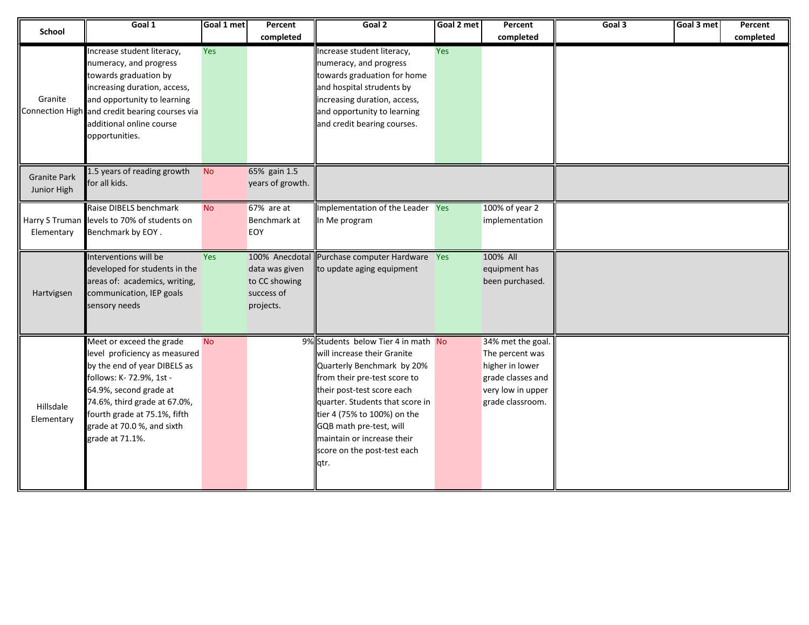| <b>School</b>                      | Goal 1                                                                                                                                                                                                                                                          | Goal 1 met | Percent<br>completed                                                         | Goal 2                                                                                                                                                                                                                                                                                                                           | Goal 2 met | Percent<br>completed                                                                                                  | Goal 3 | Goal 3 met | Percent<br>completed |
|------------------------------------|-----------------------------------------------------------------------------------------------------------------------------------------------------------------------------------------------------------------------------------------------------------------|------------|------------------------------------------------------------------------------|----------------------------------------------------------------------------------------------------------------------------------------------------------------------------------------------------------------------------------------------------------------------------------------------------------------------------------|------------|-----------------------------------------------------------------------------------------------------------------------|--------|------------|----------------------|
| Granite                            | Increase student literacy,<br>numeracy, and progress<br>towards graduation by<br>increasing duration, access,<br>and opportunity to learning<br>Connection High and credit bearing courses via<br>additional online course<br>opportunities.                    | <b>Yes</b> |                                                                              | Increase student literacy,<br>numeracy, and progress<br>towards graduation for home<br>and hospital strudents by<br>increasing duration, access,<br>and opportunity to learning<br>and credit bearing courses.                                                                                                                   | Yes        |                                                                                                                       |        |            |                      |
| <b>Granite Park</b><br>Junior High | 1.5 years of reading growth<br>for all kids.                                                                                                                                                                                                                    | <b>No</b>  | 65% gain 1.5<br>years of growth.                                             |                                                                                                                                                                                                                                                                                                                                  |            |                                                                                                                       |        |            |                      |
| Elementary                         | Raise DIBELS benchmark<br>Harry S Truman levels to 70% of students on<br>Benchmark by EOY.                                                                                                                                                                      | <b>No</b>  | 67% are at<br>Benchmark at<br>EOY                                            | Implementation of the Leader Yes<br>In Me program                                                                                                                                                                                                                                                                                |            | 100% of year 2<br>implementation                                                                                      |        |            |                      |
| Hartvigsen                         | Interventions will be<br>developed for students in the<br>areas of: academics, writing,<br>communication, IEP goals<br>sensory needs                                                                                                                            | Yes        | 100% Anecdotal<br>data was given<br>to CC showing<br>success of<br>projects. | Purchase computer Hardware Yes<br>to update aging equipment                                                                                                                                                                                                                                                                      |            | 100% All<br>equipment has<br>been purchased.                                                                          |        |            |                      |
| Hillsdale<br>Elementary            | Meet or exceed the grade<br>level proficiency as measured<br>by the end of year DIBELS as<br>follows: K-72.9%, 1st -<br>64.9%, second grade at<br>74.6%, third grade at 67.0%,<br>fourth grade at 75.1%, fifth<br>grade at 70.0 %, and sixth<br>grade at 71.1%. | <b>No</b>  |                                                                              | 9% Students below Tier 4 in math No<br>will increase their Granite<br>Quarterly Benchmark by 20%<br>from their pre-test score to<br>their post-test score each<br>quarter. Students that score in<br>tier 4 (75% to 100%) on the<br>GQB math pre-test, will<br>maintain or increase their<br>score on the post-test each<br>qtr. |            | 34% met the goal.<br>The percent was<br>higher in lower<br>grade classes and<br>very low in upper<br>grade classroom. |        |            |                      |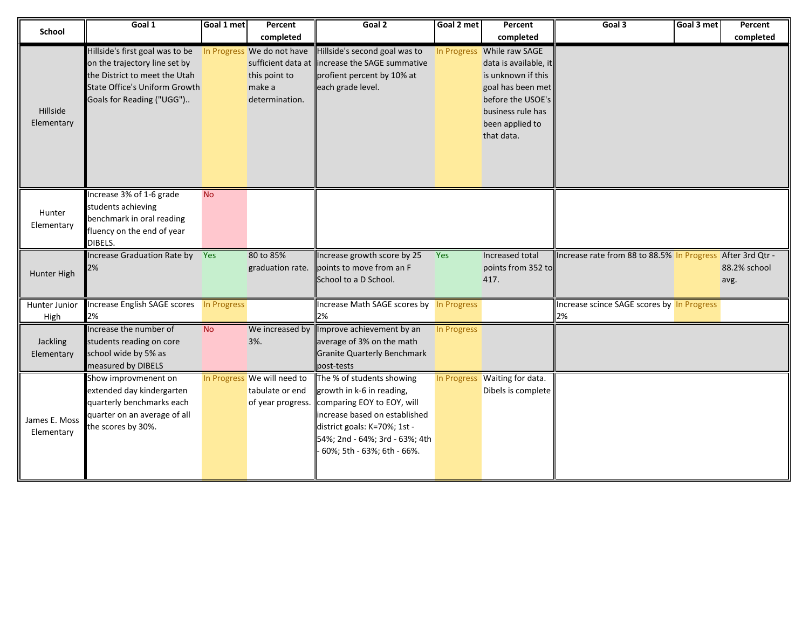| School                      | Goal 1                                                                                                                                                                 | Goal 1 met  | Percent<br>completed                                                                          | Goal 2                                                                                                                                                                                                                | Goal 2 met  | Percent<br>completed                                                                                                                                                      | Goal 3                                                     | Goal 3 met | Percent<br>completed |
|-----------------------------|------------------------------------------------------------------------------------------------------------------------------------------------------------------------|-------------|-----------------------------------------------------------------------------------------------|-----------------------------------------------------------------------------------------------------------------------------------------------------------------------------------------------------------------------|-------------|---------------------------------------------------------------------------------------------------------------------------------------------------------------------------|------------------------------------------------------------|------------|----------------------|
| Hillside<br>Elementary      | Hillside's first goal was to be<br>on the trajectory line set by<br>the District to meet the Utah<br><b>State Office's Uniform Growth</b><br>Goals for Reading ("UGG") |             | In Progress We do not have<br>sufficient data at<br>this point to<br>make a<br>determination. | Hillside's second goal was to<br>increase the SAGE summative<br>profient percent by 10% at<br>each grade level.                                                                                                       |             | In Progress While raw SAGE<br>data is available, it<br>is unknown if this<br>goal has been met<br>before the USOE's<br>business rule has<br>been applied to<br>that data. |                                                            |            |                      |
| Hunter<br>Elementary        | Increase 3% of 1-6 grade<br>students achieving<br>benchmark in oral reading<br>fluency on the end of year<br>DIBELS.                                                   | <b>No</b>   |                                                                                               |                                                                                                                                                                                                                       |             |                                                                                                                                                                           |                                                            |            |                      |
| Hunter High                 | Increase Graduation Rate by Yes<br>2%                                                                                                                                  |             | 80 to 85%<br>graduation rate.                                                                 | Increase growth score by 25<br>points to move from an F<br>School to a D School.                                                                                                                                      | Yes         | Increased total<br>points from 352 to<br>417.                                                                                                                             | Increase rate from 88 to 88.5% In Progress After 3rd Qtr - |            | 88.2% school<br>avg. |
| Hunter Junior<br>High       | Increase English SAGE scores<br>2%                                                                                                                                     | In Progress |                                                                                               | Increase Math SAGE scores by In Progress<br>2%                                                                                                                                                                        |             |                                                                                                                                                                           | Increase scince SAGE scores by In Progress<br>2%           |            |                      |
| Jackling<br>Elementary      | Increase the number of<br>students reading on core<br>school wide by 5% as<br>measured by DIBELS                                                                       | <b>No</b>   | We increased by<br>3%.                                                                        | Improve achievement by an<br>average of 3% on the math<br><b>Granite Quarterly Benchmark</b><br>post-tests                                                                                                            | In Progress |                                                                                                                                                                           |                                                            |            |                      |
| James E. Moss<br>Elementary | Show improvmenent on<br>extended day kindergarten<br>quarterly benchmarks each<br>quarter on an average of all<br>the scores by 30%.                                   |             | In Progress We will need to<br>tabulate or end<br>of year progress.                           | The % of students showing<br>growth in k-6 in reading,<br>comparing EOY to EOY, will<br>increase based on established<br>district goals: K=70%; 1st -<br>54%; 2nd - 64%; 3rd - 63%; 4th<br>60%; 5th - 63%; 6th - 66%. |             | In Progress Waiting for data.<br>Dibels is complete                                                                                                                       |                                                            |            |                      |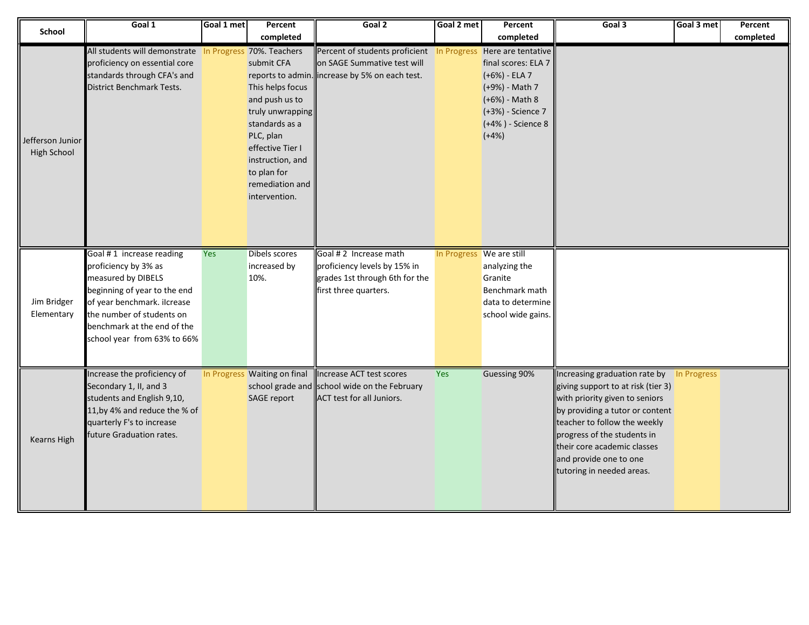| <b>School</b>                          | Goal 1                                                                                                                                                                                                                           | Goal 1 met | Percent<br>completed                                                                                                                                                                           | Goal 2                                                                                                                                         | Goal 2 met               | Percent<br>completed                                                                                                          | Goal 3                                                                                                                                                                                                                                                                                                    | Goal 3 met | Percent<br>completed |
|----------------------------------------|----------------------------------------------------------------------------------------------------------------------------------------------------------------------------------------------------------------------------------|------------|------------------------------------------------------------------------------------------------------------------------------------------------------------------------------------------------|------------------------------------------------------------------------------------------------------------------------------------------------|--------------------------|-------------------------------------------------------------------------------------------------------------------------------|-----------------------------------------------------------------------------------------------------------------------------------------------------------------------------------------------------------------------------------------------------------------------------------------------------------|------------|----------------------|
| Jefferson Junior<br><b>High School</b> | All students will demonstrate In Progress 70%. Teachers<br>proficiency on essential core<br>standards through CFA's and<br><b>District Benchmark Tests.</b>                                                                      |            | submit CFA<br>This helps focus<br>and push us to<br>truly unwrapping<br>standards as a<br>PLC, plan<br>effective Tier I<br>instruction, and<br>to plan for<br>remediation and<br>intervention. | Percent of students proficient In Progress Here are tentative<br>on SAGE Summative test will<br>reports to admin. increase by 5% on each test. |                          | final scores: ELA 7<br>(+6%) - ELA 7<br>(+9%) - Math 7<br>(+6%) - Math 8<br>(+3%) - Science 7<br>(+4%) - Science 8<br>$(+4%)$ |                                                                                                                                                                                                                                                                                                           |            |                      |
| Jim Bridger<br>Elementary              | Goal #1 increase reading<br>proficiency by 3% as<br>measured by DIBELS<br>beginning of year to the end<br>of year benchmark. ilcrease<br>the number of students on<br>benchmark at the end of the<br>school year from 63% to 66% | <b>Yes</b> | Dibels scores<br>increased by<br>10%.                                                                                                                                                          | Goal #2 Increase math<br>proficiency levels by 15% in<br>grades 1st through 6th for the<br>first three quarters.                               | In Progress We are still | analyzing the<br>Granite<br>Benchmark math<br>data to determine<br>school wide gains.                                         |                                                                                                                                                                                                                                                                                                           |            |                      |
| <b>Kearns High</b>                     | Increase the proficiency of<br>Secondary 1, II, and 3<br>students and English 9,10,<br>11, by 4% and reduce the % of<br>quarterly F's to increase<br>future Graduation rates.                                                    |            | In Progress Waiting on final<br>SAGE report                                                                                                                                                    | Increase ACT test scores<br>school grade and school wide on the February<br><b>ACT test for all Juniors.</b>                                   | <b>Yes</b>               | Guessing 90%                                                                                                                  | Increasing graduation rate by In Progress<br>giving support to at risk (tier 3)<br>with priority given to seniors<br>by providing a tutor or content<br>teacher to follow the weekly<br>progress of the students in<br>their core academic classes<br>and provide one to one<br>tutoring in needed areas. |            |                      |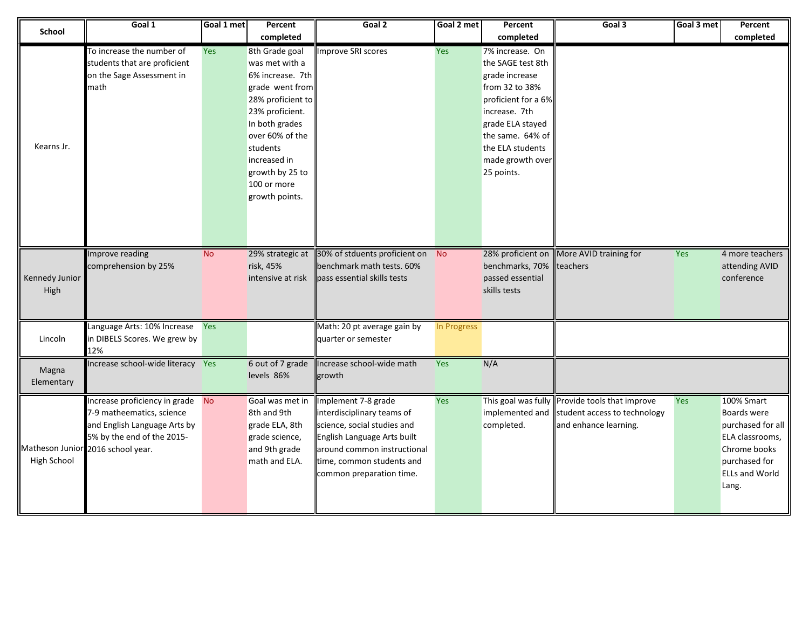| <b>School</b>          | Goal 1                                                                                                                                                           | Goal 1 met | Percent<br>completed                                                                                                                                                                                                                 | Goal 2                                                                                                                                                                                                  | Goal 2 met  | Percent<br>completed                                                                                                                                                                                           | Goal 3                                                                                                  | Goal 3 met | Percent<br>completed                                                                                                                 |
|------------------------|------------------------------------------------------------------------------------------------------------------------------------------------------------------|------------|--------------------------------------------------------------------------------------------------------------------------------------------------------------------------------------------------------------------------------------|---------------------------------------------------------------------------------------------------------------------------------------------------------------------------------------------------------|-------------|----------------------------------------------------------------------------------------------------------------------------------------------------------------------------------------------------------------|---------------------------------------------------------------------------------------------------------|------------|--------------------------------------------------------------------------------------------------------------------------------------|
| Kearns Jr.             | To increase the number of<br>students that are proficient<br>on the Sage Assessment in<br>math                                                                   | Yes        | 8th Grade goal<br>was met with a<br>6% increase. 7th<br>grade went from<br>28% proficient to<br>23% proficient.<br>In both grades<br>over 60% of the<br>students<br>increased in<br>growth by 25 to<br>100 or more<br>growth points. | Improve SRI scores                                                                                                                                                                                      | Yes         | 7% increase. On<br>the SAGE test 8th<br>grade increase<br>from 32 to 38%<br>proficient for a 6%<br>increase. 7th<br>grade ELA stayed<br>the same. 64% of<br>the ELA students<br>made growth over<br>25 points. |                                                                                                         |            |                                                                                                                                      |
| Kennedy Junior<br>High | Improve reading<br>comprehension by 25%                                                                                                                          | <b>No</b>  | 29% strategic at<br>risk, 45%<br>intensive at risk                                                                                                                                                                                   | 30% of stduents proficient on No<br>benchmark math tests. 60%<br>pass essential skills tests                                                                                                            |             | 28% proficient on<br>benchmarks, 70%<br>passed essential<br>skills tests                                                                                                                                       | More AVID training for<br>teachers                                                                      | <b>Yes</b> | 4 more teachers<br>attending AVID<br>conference                                                                                      |
| Lincoln                | Language Arts: 10% Increase Yes<br>in DIBELS Scores. We grew by<br>12%                                                                                           |            |                                                                                                                                                                                                                                      | Math: 20 pt average gain by<br>quarter or semester                                                                                                                                                      | In Progress |                                                                                                                                                                                                                |                                                                                                         |            |                                                                                                                                      |
| Magna<br>Elementary    | Increase school-wide literacy Yes                                                                                                                                |            | 6 out of 7 grade<br>levels 86%                                                                                                                                                                                                       | Increase school-wide math<br>growth                                                                                                                                                                     | <b>Yes</b>  | N/A                                                                                                                                                                                                            |                                                                                                         |            |                                                                                                                                      |
| High School            | Increase proficiency in grade No<br>7-9 matheematics, science<br>and English Language Arts by<br>5% by the end of the 2015-<br>Matheson Junior 2016 school year. |            | Goal was met in<br>8th and 9th<br>grade ELA, 8th<br>grade science,<br>and 9th grade<br>math and ELA.                                                                                                                                 | Implement 7-8 grade<br>interdisciplinary teams of<br>science, social studies and<br>English Language Arts built<br>around common instructional<br>time, common students and<br>common preparation time. | Yes         | implemented and<br>completed.                                                                                                                                                                                  | This goal was fully Provide tools that improve<br>student access to technology<br>and enhance learning. | Yes        | 100% Smart<br>Boards were<br>purchased for all<br>ELA classrooms,<br>Chrome books<br>purchased for<br><b>ELLs and World</b><br>Lang. |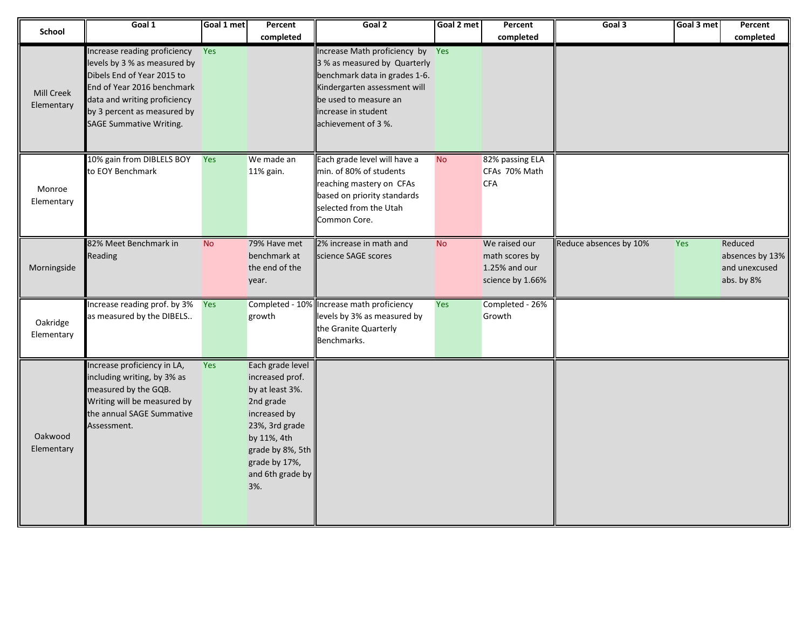| <b>School</b>                   | Goal 1                                                                                                                                                                                                                    | Goal 1 met | Percent<br>completed                                                                                                                                                                 | Goal 2                                                                                                                                                                                                   | Goal 2 met | Percent<br>completed                                                 | Goal 3                 | Goal 3 met | Percent<br>completed                                      |
|---------------------------------|---------------------------------------------------------------------------------------------------------------------------------------------------------------------------------------------------------------------------|------------|--------------------------------------------------------------------------------------------------------------------------------------------------------------------------------------|----------------------------------------------------------------------------------------------------------------------------------------------------------------------------------------------------------|------------|----------------------------------------------------------------------|------------------------|------------|-----------------------------------------------------------|
| <b>Mill Creek</b><br>Elementary | Increase reading proficiency<br>levels by 3 % as measured by<br>Dibels End of Year 2015 to<br>End of Year 2016 benchmark<br>data and writing proficiency<br>by 3 percent as measured by<br><b>SAGE Summative Writing.</b> | Yes        |                                                                                                                                                                                      | Increase Math proficiency by Yes<br>3 % as measured by Quarterly<br>benchmark data in grades 1-6.<br>Kindergarten assessment will<br>be used to measure an<br>increase in student<br>achievement of 3 %. |            |                                                                      |                        |            |                                                           |
| Monroe<br>Elementary            | 10% gain from DIBLELS BOY<br>to EOY Benchmark                                                                                                                                                                             | Yes        | We made an<br>11% gain.                                                                                                                                                              | Each grade level will have a<br>min. of 80% of students<br>reaching mastery on CFAs<br>based on priority standards<br>selected from the Utah<br>Common Core.                                             | <b>No</b>  | 82% passing ELA<br>CFAs 70% Math<br><b>CFA</b>                       |                        |            |                                                           |
| Morningside                     | 82% Meet Benchmark in<br>Reading                                                                                                                                                                                          | <b>No</b>  | 79% Have met<br>benchmark at<br>the end of the<br>year.                                                                                                                              | 2% increase in math and<br>science SAGE scores                                                                                                                                                           | <b>No</b>  | We raised our<br>math scores by<br>1.25% and our<br>science by 1.66% | Reduce absences by 10% | Yes        | Reduced<br>absences by 13%<br>and unexcused<br>abs. by 8% |
| Oakridge<br>Elementary          | Increase reading prof. by 3%<br>as measured by the DIBELS                                                                                                                                                                 | Yes        | growth                                                                                                                                                                               | Completed - 10% Increase math proficiency<br>levels by 3% as measured by<br>the Granite Quarterly<br>Benchmarks.                                                                                         | Yes        | Completed - 26%<br>Growth                                            |                        |            |                                                           |
| Oakwood<br>Elementary           | Increase proficiency in LA,<br>including writing, by 3% as<br>measured by the GQB.<br>Writing will be measured by<br>the annual SAGE Summative<br>Assessment.                                                             | Yes        | Each grade level<br>increased prof.<br>by at least 3%.<br>2nd grade<br>increased by<br>23%, 3rd grade<br>by 11%, 4th<br>grade by 8%, 5th<br>grade by 17%,<br>and 6th grade by<br>3%. |                                                                                                                                                                                                          |            |                                                                      |                        |            |                                                           |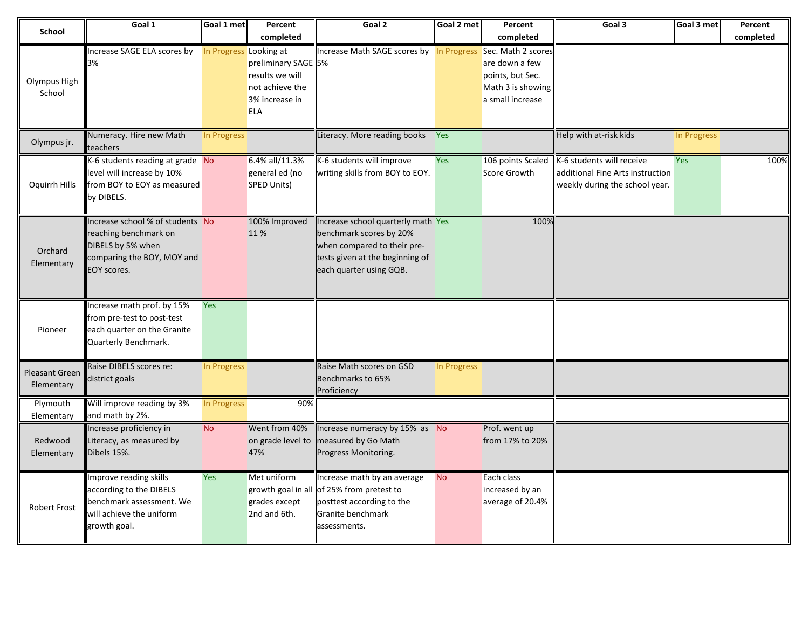| School                       | Goal 1                              | Goal 1 met             | Percent             | Goal 2                                                      | Goal 2 met  | Percent           | Goal 3                                      | Goal 3 met  | Percent   |
|------------------------------|-------------------------------------|------------------------|---------------------|-------------------------------------------------------------|-------------|-------------------|---------------------------------------------|-------------|-----------|
|                              |                                     |                        | completed           |                                                             |             | completed         |                                             |             | completed |
|                              | Increase SAGE ELA scores by         | In Progress Looking at |                     | Increase Math SAGE scores by In Progress Sec. Math 2 scores |             |                   |                                             |             |           |
|                              | 3%                                  |                        | preliminary SAGE 5% |                                                             |             | are down a few    |                                             |             |           |
| Olympus High                 |                                     |                        | results we will     |                                                             |             | points, but Sec.  |                                             |             |           |
| School                       |                                     |                        | not achieve the     |                                                             |             | Math 3 is showing |                                             |             |           |
|                              |                                     |                        | 3% increase in      |                                                             |             | a small increase  |                                             |             |           |
|                              |                                     |                        | <b>ELA</b>          |                                                             |             |                   |                                             |             |           |
|                              |                                     |                        |                     |                                                             |             |                   |                                             |             |           |
| Olympus jr.                  | Numeracy. Hire new Math<br>teachers | In Progress            |                     | Literacy. More reading books Yes                            |             |                   | Help with at-risk kids                      | In Progress |           |
|                              | K-6 students reading at grade No    |                        | 6.4% all/11.3%      | K-6 students will improve                                   | Yes         |                   | 106 points Scaled K-6 students will receive | Yes         | 100%      |
|                              | level will increase by 10%          |                        | general ed (no      | writing skills from BOY to EOY.                             |             | Score Growth      | additional Fine Arts instruction            |             |           |
| Oquirrh Hills                | from BOY to EOY as measured         |                        | SPED Units)         |                                                             |             |                   | weekly during the school year.              |             |           |
|                              | by DIBELS.                          |                        |                     |                                                             |             |                   |                                             |             |           |
|                              |                                     |                        |                     |                                                             |             |                   |                                             |             |           |
|                              | Increase school % of students No    |                        | 100% Improved       | Increase school quarterly math Yes                          |             | 100%              |                                             |             |           |
|                              | reaching benchmark on               |                        | 11%                 | benchmark scores by 20%                                     |             |                   |                                             |             |           |
| Orchard                      | DIBELS by 5% when                   |                        |                     | when compared to their pre-                                 |             |                   |                                             |             |           |
| Elementary                   | comparing the BOY, MOY and          |                        |                     | tests given at the beginning of                             |             |                   |                                             |             |           |
|                              | EOY scores.                         |                        |                     | each quarter using GQB.                                     |             |                   |                                             |             |           |
|                              |                                     |                        |                     |                                                             |             |                   |                                             |             |           |
|                              | Increase math prof. by 15%          | Yes                    |                     |                                                             |             |                   |                                             |             |           |
|                              | from pre-test to post-test          |                        |                     |                                                             |             |                   |                                             |             |           |
| Pioneer                      | each quarter on the Granite         |                        |                     |                                                             |             |                   |                                             |             |           |
|                              | Quarterly Benchmark.                |                        |                     |                                                             |             |                   |                                             |             |           |
|                              |                                     |                        |                     |                                                             |             |                   |                                             |             |           |
|                              | Raise DIBELS scores re:             | In Progress            |                     | Raise Math scores on GSD                                    | In Progress |                   |                                             |             |           |
| Pleasant Green<br>Elementary | district goals                      |                        |                     | Benchmarks to 65%                                           |             |                   |                                             |             |           |
|                              |                                     |                        |                     | Proficiency                                                 |             |                   |                                             |             |           |
| Plymouth                     | Will improve reading by 3%          | In Progress            | 90%                 |                                                             |             |                   |                                             |             |           |
| Elementary                   | and math by 2%.                     |                        |                     |                                                             |             |                   |                                             |             |           |
|                              | Increase proficiency in             | <b>No</b>              | Went from 40%       | Increase numeracy by 15% as No                              |             | Prof. went up     |                                             |             |           |
| Redwood                      | Literacy, as measured by            |                        | on grade level to   | measured by Go Math                                         |             | from 17% to 20%   |                                             |             |           |
| Elementary                   | Dibels 15%.                         |                        | 47%                 | Progress Monitoring.                                        |             |                   |                                             |             |           |
|                              | Improve reading skills              | Yes                    | Met uniform         | Increase math by an average                                 | <b>No</b>   | Each class        |                                             |             |           |
|                              | according to the DIBELS             |                        |                     | growth goal in all of 25% from pretest to                   |             | increased by an   |                                             |             |           |
|                              | benchmark assessment. We            |                        | grades except       | posttest according to the                                   |             | average of 20.4%  |                                             |             |           |
| <b>Robert Frost</b>          | will achieve the uniform            |                        | 2nd and 6th.        | Granite benchmark                                           |             |                   |                                             |             |           |
|                              | growth goal.                        |                        |                     | assessments.                                                |             |                   |                                             |             |           |
|                              |                                     |                        |                     |                                                             |             |                   |                                             |             |           |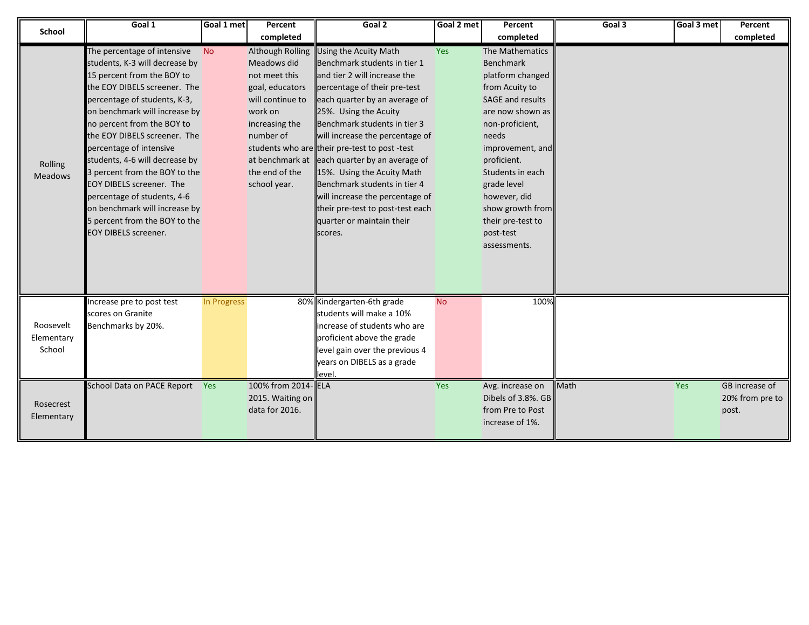| School         | Goal 1                          | Goal 1 met  | Percent                 | Goal 2                                       | Goal 2 met | Percent            | Goal 3      | Goal 3 met | Percent         |
|----------------|---------------------------------|-------------|-------------------------|----------------------------------------------|------------|--------------------|-------------|------------|-----------------|
|                |                                 |             | completed               |                                              |            | completed          |             |            | completed       |
|                | The percentage of intensive     | <b>No</b>   | <b>Although Rolling</b> | Using the Acuity Math                        | <b>Yes</b> | The Mathematics    |             |            |                 |
|                | students, K-3 will decrease by  |             | Meadows did             | Benchmark students in tier 1                 |            | <b>Benchmark</b>   |             |            |                 |
|                | 15 percent from the BOY to      |             | not meet this           | and tier 2 will increase the                 |            | platform changed   |             |            |                 |
|                | the EOY DIBELS screener. The    |             | goal, educators         | percentage of their pre-test                 |            | from Acuity to     |             |            |                 |
|                | percentage of students, K-3,    |             | will continue to        | each quarter by an average of                |            | SAGE and results   |             |            |                 |
|                | on benchmark will increase by   |             | work on                 | 25%. Using the Acuity                        |            | are now shown as   |             |            |                 |
|                | no percent from the BOY to      |             | increasing the          | Benchmark students in tier 3                 |            | non-proficient,    |             |            |                 |
|                | the EOY DIBELS screener. The    |             | number of               | will increase the percentage of              |            | needs              |             |            |                 |
|                | percentage of intensive         |             |                         | students who are their pre-test to post-test |            | improvement, and   |             |            |                 |
| Rolling        | students, 4-6 will decrease by  |             | at benchmark at         | each quarter by an average of                |            | proficient.        |             |            |                 |
| <b>Meadows</b> | 3 percent from the BOY to the   |             | the end of the          | 15%. Using the Acuity Math                   |            | Students in each   |             |            |                 |
|                | <b>EOY DIBELS screener. The</b> |             | school year.            | Benchmark students in tier 4                 |            | grade level        |             |            |                 |
|                | percentage of students, 4-6     |             |                         | will increase the percentage of              |            | however, did       |             |            |                 |
|                | on benchmark will increase by   |             |                         | their pre-test to post-test each             |            | show growth from   |             |            |                 |
|                | 5 percent from the BOY to the   |             |                         | quarter or maintain their                    |            | their pre-test to  |             |            |                 |
|                | EOY DIBELS screener.            |             |                         | scores.                                      |            | post-test          |             |            |                 |
|                |                                 |             |                         |                                              |            | assessments.       |             |            |                 |
|                |                                 |             |                         |                                              |            |                    |             |            |                 |
|                |                                 |             |                         |                                              |            |                    |             |            |                 |
|                |                                 |             |                         |                                              |            |                    |             |            |                 |
|                | Increase pre to post test       | In Progress |                         | 80% Kindergarten-6th grade                   | <b>No</b>  | 100%               |             |            |                 |
|                | scores on Granite               |             |                         | students will make a 10%                     |            |                    |             |            |                 |
| Roosevelt      | Benchmarks by 20%.              |             |                         | increase of students who are                 |            |                    |             |            |                 |
| Elementary     |                                 |             |                         | proficient above the grade                   |            |                    |             |            |                 |
| School         |                                 |             |                         | level gain over the previous 4               |            |                    |             |            |                 |
|                |                                 |             |                         | years on DIBELS as a grade                   |            |                    |             |            |                 |
|                |                                 |             |                         | level.                                       |            |                    |             |            |                 |
|                | School Data on PACE Report Yes  |             | 100% from 2014-ELA      |                                              | Yes        | Avg. increase on   | <b>Math</b> | Yes        | GB increase of  |
| Rosecrest      |                                 |             | 2015. Waiting on        |                                              |            | Dibels of 3.8%. GB |             |            | 20% from pre to |
|                |                                 |             | data for 2016.          |                                              |            | from Pre to Post   |             |            | post.           |
| Elementary     |                                 |             |                         |                                              |            | increase of 1%.    |             |            |                 |
|                |                                 |             |                         |                                              |            |                    |             |            |                 |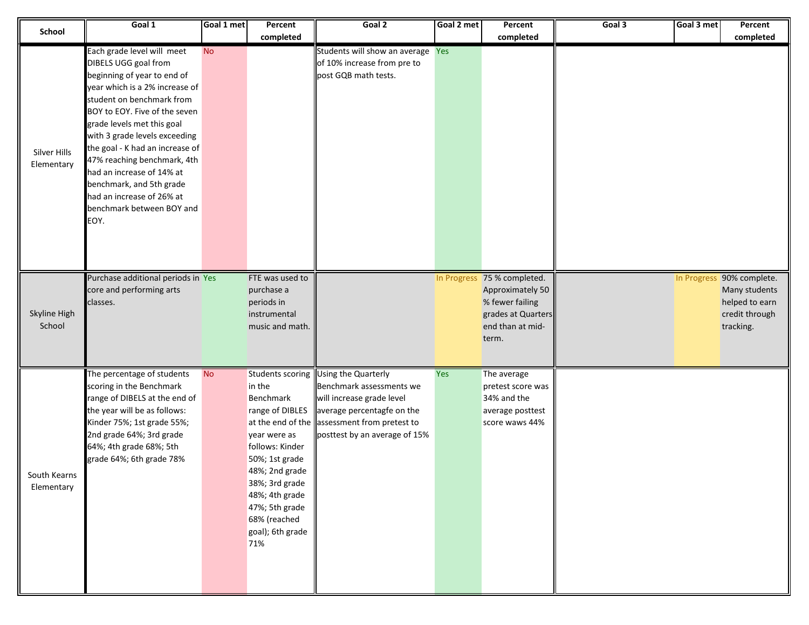|                            | Goal 1                                                                                                                                                                                                                                                                                                                                                                                                                                        | Goal 1 met | Percent                                                                                                                                                                                                                            | Goal 2                                                                                                                                                                                      | Goal 2 met | Percent                                                                                                               | Goal 3 | Goal 3 met | Percent                                                                                     |
|----------------------------|-----------------------------------------------------------------------------------------------------------------------------------------------------------------------------------------------------------------------------------------------------------------------------------------------------------------------------------------------------------------------------------------------------------------------------------------------|------------|------------------------------------------------------------------------------------------------------------------------------------------------------------------------------------------------------------------------------------|---------------------------------------------------------------------------------------------------------------------------------------------------------------------------------------------|------------|-----------------------------------------------------------------------------------------------------------------------|--------|------------|---------------------------------------------------------------------------------------------|
| School                     |                                                                                                                                                                                                                                                                                                                                                                                                                                               |            | completed                                                                                                                                                                                                                          |                                                                                                                                                                                             |            | completed                                                                                                             |        |            | completed                                                                                   |
| Silver Hills<br>Elementary | Each grade level will meet<br>DIBELS UGG goal from<br>beginning of year to end of<br>year which is a 2% increase of<br>student on benchmark from<br>BOY to EOY. Five of the seven<br>grade levels met this goal<br>with 3 grade levels exceeding<br>the goal - K had an increase of<br>47% reaching benchmark, 4th<br>had an increase of 14% at<br>benchmark, and 5th grade<br>had an increase of 26% at<br>benchmark between BOY and<br>EOY. | <b>No</b>  |                                                                                                                                                                                                                                    | Students will show an average Yes<br>of 10% increase from pre to<br>post GQB math tests.                                                                                                    |            |                                                                                                                       |        |            |                                                                                             |
| Skyline High<br>School     | Purchase additional periods in Yes<br>core and performing arts<br>classes.                                                                                                                                                                                                                                                                                                                                                                    |            | FTE was used to<br>purchase a<br>periods in<br>instrumental<br>music and math.                                                                                                                                                     |                                                                                                                                                                                             |            | In Progress 75 % completed.<br>Approximately 50<br>% fewer failing<br>grades at Quarters<br>end than at mid-<br>term. |        |            | In Progress 90% complete.<br>Many students<br>helped to earn<br>credit through<br>tracking. |
| South Kearns<br>Elementary | The percentage of students<br>scoring in the Benchmark<br>range of DIBELS at the end of<br>the year will be as follows:<br>Kinder 75%; 1st grade 55%;<br>2nd grade 64%; 3rd grade<br>64%; 4th grade 68%; 5th<br>grade 64%; 6th grade 78%                                                                                                                                                                                                      | <b>No</b>  | Students scoring<br>in the<br>Benchmark<br>range of DIBLES<br>year were as<br>follows: Kinder<br>50%; 1st grade<br>48%; 2nd grade<br>38%; 3rd grade<br>48%; 4th grade<br>47%; 5th grade<br>68% (reached<br>goal); 6th grade<br>71% | Using the Quarterly<br>Benchmark assessments we<br>will increase grade level<br>average percentagfe on the<br>at the end of the assessment from pretest to<br>posttest by an average of 15% | Yes        | The average<br>pretest score was<br>34% and the<br>average posttest<br>score waws 44%                                 |        |            |                                                                                             |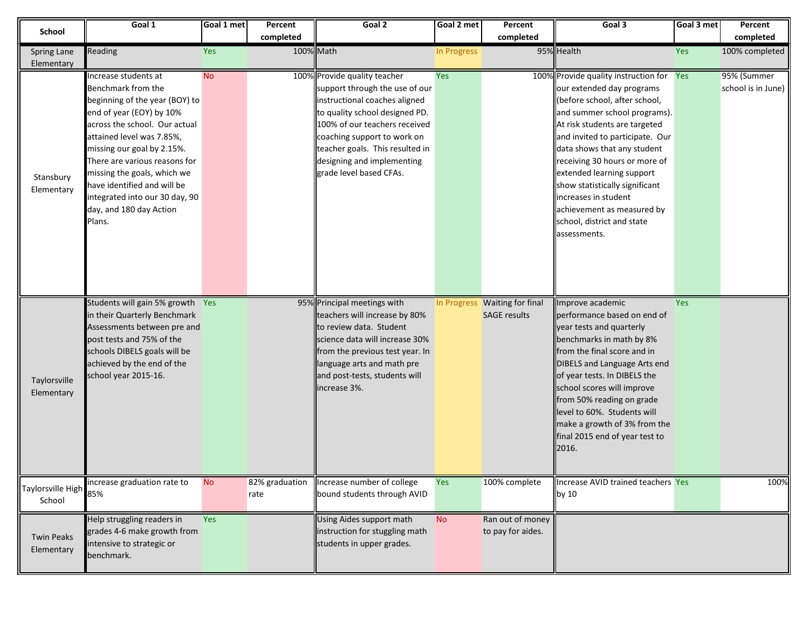| School                          | Goal 1                                                                                                                                                                                                                                                                                                                                                                     | Goal 1 met | Percent                | Goal 2                                                                                                                                                                                                                                                                                        | Goal 2 met  | Percent                                              | Goal 3                                                                                                                                                                                                                                                                                                                                                                                                                                    | Goal 3 met | Percent                           |
|---------------------------------|----------------------------------------------------------------------------------------------------------------------------------------------------------------------------------------------------------------------------------------------------------------------------------------------------------------------------------------------------------------------------|------------|------------------------|-----------------------------------------------------------------------------------------------------------------------------------------------------------------------------------------------------------------------------------------------------------------------------------------------|-------------|------------------------------------------------------|-------------------------------------------------------------------------------------------------------------------------------------------------------------------------------------------------------------------------------------------------------------------------------------------------------------------------------------------------------------------------------------------------------------------------------------------|------------|-----------------------------------|
|                                 |                                                                                                                                                                                                                                                                                                                                                                            |            | completed              |                                                                                                                                                                                                                                                                                               |             | completed                                            |                                                                                                                                                                                                                                                                                                                                                                                                                                           |            | completed                         |
| Spring Lane                     | Reading                                                                                                                                                                                                                                                                                                                                                                    | Yes        | 100% Math              |                                                                                                                                                                                                                                                                                               | In Progress |                                                      | 95% Health                                                                                                                                                                                                                                                                                                                                                                                                                                | Yes        | 100% completed                    |
| Elementary                      |                                                                                                                                                                                                                                                                                                                                                                            |            |                        |                                                                                                                                                                                                                                                                                               |             |                                                      |                                                                                                                                                                                                                                                                                                                                                                                                                                           |            |                                   |
| Stansbury<br>Elementary         | Increase students at<br>Benchmark from the<br>beginning of the year (BOY) to<br>end of year (EOY) by 10%<br>across the school. Our actual<br>attained level was 7.85%,<br>missing our goal by 2.15%.<br>There are various reasons for<br>missing the goals, which we<br>have identified and will be<br>integrated into our 30 day, 90<br>day, and 180 day Action<br>Plans. | <b>No</b>  |                        | 100% Provide quality teacher<br>support through the use of our<br>instructional coaches aligned<br>to quality school designed PD.<br>100% of our teachers received<br>coaching support to work on<br>teacher goals. This resulted in<br>designing and implementing<br>grade level based CFAs. | Yes         |                                                      | 100% Provide quality instruction for<br>our extended day programs<br>(before school, after school,<br>and summer school programs).<br>At risk students are targeted<br>and invited to participate. Our<br>data shows that any student<br>receiving 30 hours or more of<br>extended learning support<br>show statistically significant<br>increases in student<br>achievement as measured by<br>school, district and state<br>assessments. | Yes        | 95% (Summer<br>school is in June) |
| Taylorsville<br>Elementary      | Students will gain 5% growth Yes<br>in their Quarterly Benchmark<br>Assessments between pre and<br>post tests and 75% of the<br>schools DIBELS goals will be<br>achieved by the end of the<br>school year 2015-16.                                                                                                                                                         |            |                        | 95% Principal meetings with<br>teachers will increase by 80%<br>to review data. Student<br>science data will increase 30%<br>from the previous test year. In<br>language arts and math pre<br>and post-tests, students will<br>increase 3%.                                                   |             | In Progress Waiting for final<br><b>SAGE results</b> | Improve academic<br>performance based on end of<br>year tests and quarterly<br>benchmarks in math by 8%<br>from the final score and in<br>DIBELS and Language Arts end<br>of year tests. In DIBELS the<br>school scores will improve<br>from 50% reading on grade<br>level to 60%. Students will<br>make a growth of 3% from the<br>final 2015 end of year test to<br>2016.                                                               | Yes        |                                   |
| Taylorsville High<br>School     | increase graduation rate to<br>85%                                                                                                                                                                                                                                                                                                                                         | <b>No</b>  | 82% graduation<br>rate | Increase number of college<br>bound students through AVID                                                                                                                                                                                                                                     | Yes         | 100% complete                                        | Increase AVID trained teachers Yes<br>by 10                                                                                                                                                                                                                                                                                                                                                                                               |            | 100%                              |
| <b>Twin Peaks</b><br>Elementary | Help struggling readers in<br>grades 4-6 make growth from<br>intensive to strategic or<br>benchmark.                                                                                                                                                                                                                                                                       | Yes        |                        | Using Aides support math<br>instruction for stuggling math<br>students in upper grades.                                                                                                                                                                                                       | <b>No</b>   | Ran out of money<br>to pay for aides.                |                                                                                                                                                                                                                                                                                                                                                                                                                                           |            |                                   |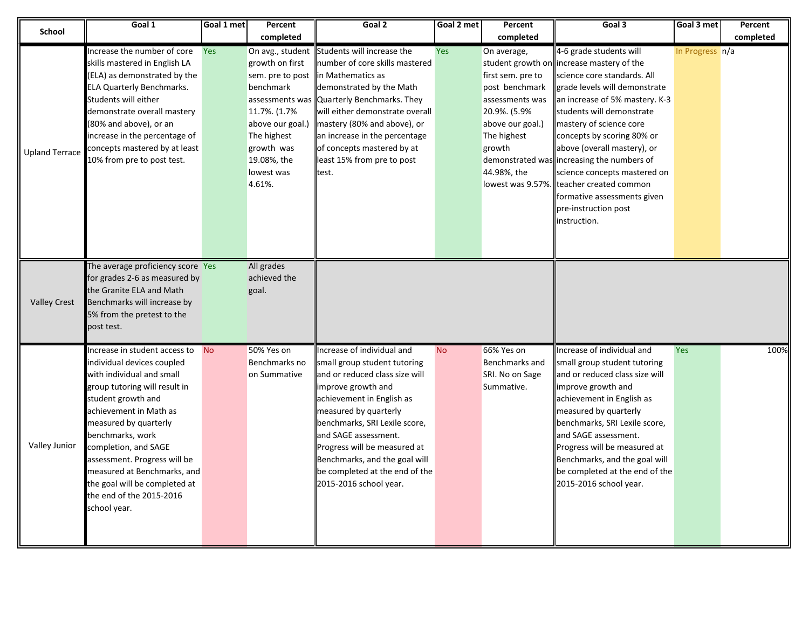| <b>School</b>         | Goal 1                                                                                                                                                                                                                                                                                                                                                                                     | Goal 1 met | Percent                                                                                                                                                                                         | Goal 2                                                                                                                                                                                                                                                                                                                                                        | Goal 2 met | Percent                                                                                                                                           | Goal 3                                                                                                                                                                                                                                                                                                                                                                                                                                                                                       | Goal 3 met      | Percent   |
|-----------------------|--------------------------------------------------------------------------------------------------------------------------------------------------------------------------------------------------------------------------------------------------------------------------------------------------------------------------------------------------------------------------------------------|------------|-------------------------------------------------------------------------------------------------------------------------------------------------------------------------------------------------|---------------------------------------------------------------------------------------------------------------------------------------------------------------------------------------------------------------------------------------------------------------------------------------------------------------------------------------------------------------|------------|---------------------------------------------------------------------------------------------------------------------------------------------------|----------------------------------------------------------------------------------------------------------------------------------------------------------------------------------------------------------------------------------------------------------------------------------------------------------------------------------------------------------------------------------------------------------------------------------------------------------------------------------------------|-----------------|-----------|
|                       |                                                                                                                                                                                                                                                                                                                                                                                            |            | completed                                                                                                                                                                                       |                                                                                                                                                                                                                                                                                                                                                               |            | completed                                                                                                                                         |                                                                                                                                                                                                                                                                                                                                                                                                                                                                                              |                 | completed |
| <b>Upland Terrace</b> | Increase the number of core<br>skills mastered in English LA<br>(ELA) as demonstrated by the<br><b>ELA Quarterly Benchmarks.</b><br>Students will either<br>demonstrate overall mastery<br>(80% and above), or an<br>increase in the percentage of<br>concepts mastered by at least<br>10% from pre to post test.                                                                          | <b>Yes</b> | On avg., student<br>growth on first<br>sem. pre to post<br>benchmark<br>assessments was<br>11.7%. (1.7%<br>above our goal.)<br>The highest<br>growth was<br>19.08%, the<br>lowest was<br>4.61%. | Students will increase the<br>number of core skills mastered<br>in Mathematics as<br>demonstrated by the Math<br>Quarterly Benchmarks. They<br>will either demonstrate overall<br>mastery (80% and above), or<br>an increase in the percentage<br>of concepts mastered by at<br>least 15% from pre to post<br>test.                                           | Yes        | On average,<br>first sem. pre to<br>post benchmark<br>assessments was<br>20.9%. (5.9%<br>above our goal.)<br>The highest<br>growth<br>44.98%, the | 4-6 grade students will<br>student growth on increase mastery of the<br>science core standards. All<br>grade levels will demonstrate<br>an increase of 5% mastery. K-3<br>students will demonstrate<br>mastery of science core<br>concepts by scoring 80% or<br>above (overall mastery), or<br>demonstrated was increasing the numbers of<br>science concepts mastered on<br>lowest was 9.57%. teacher created common<br>formative assessments given<br>pre-instruction post<br>instruction. | In Progress n/a |           |
| <b>Valley Crest</b>   | The average proficiency score Yes<br>for grades 2-6 as measured by<br>the Granite ELA and Math<br>Benchmarks will increase by<br>5% from the pretest to the<br>post test.                                                                                                                                                                                                                  |            | All grades<br>achieved the<br>goal.                                                                                                                                                             |                                                                                                                                                                                                                                                                                                                                                               |            |                                                                                                                                                   |                                                                                                                                                                                                                                                                                                                                                                                                                                                                                              |                 |           |
| Valley Junior         | Increase in student access to<br>individual devices coupled<br>with individual and small<br>group tutoring will result in<br>student growth and<br>achievement in Math as<br>measured by quarterly<br>benchmarks, work<br>completion, and SAGE<br>assessment. Progress will be<br>measured at Benchmarks, and<br>the goal will be completed at<br>the end of the 2015-2016<br>school year. | <b>No</b>  | 50% Yes on<br>Benchmarks no<br>on Summative                                                                                                                                                     | ncrease of individual and<br>small group student tutoring<br>and or reduced class size will<br>improve growth and<br>achievement in English as<br>measured by quarterly<br>benchmarks, SRI Lexile score,<br>and SAGE assessment.<br>Progress will be measured at<br>Benchmarks, and the goal will<br>be completed at the end of the<br>2015-2016 school year. | <b>No</b>  | 66% Yes on<br>Benchmarks and<br>SRI. No on Sage<br>Summative.                                                                                     | Increase of individual and<br>small group student tutoring<br>and or reduced class size will<br>improve growth and<br>achievement in English as<br>measured by quarterly<br>benchmarks, SRI Lexile score,<br>and SAGE assessment.<br>Progress will be measured at<br>Benchmarks, and the goal will<br>be completed at the end of the<br>2015-2016 school year.                                                                                                                               | <b>Yes</b>      | 100%      |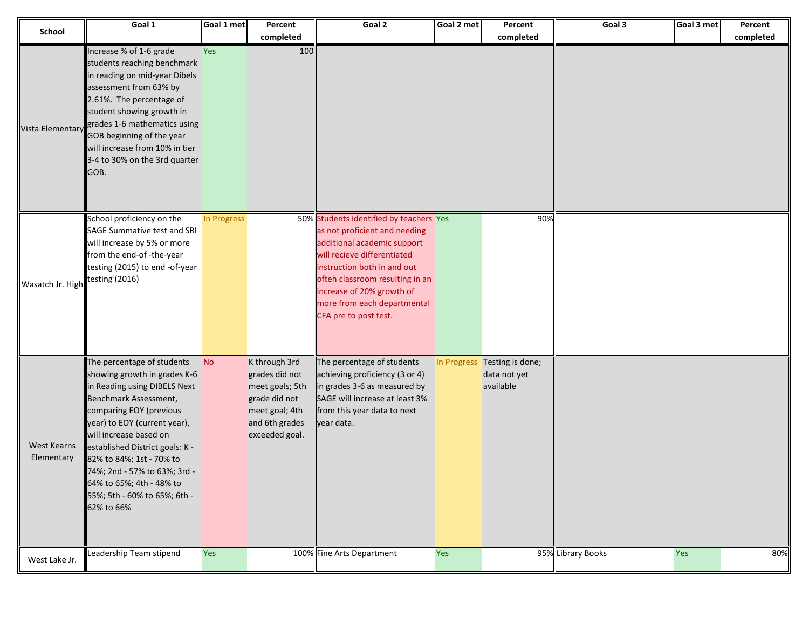| School                           | Goal 1                                                                                                                                                                                                                                                                                                                                                                            | Goal 1 met  | Percent                                                                                                                   | Goal 2                                                                                                                                                                                                                                                                                        | Goal 2 met | Percent                                                   | Goal 3            | Goal 3 met | Percent   |
|----------------------------------|-----------------------------------------------------------------------------------------------------------------------------------------------------------------------------------------------------------------------------------------------------------------------------------------------------------------------------------------------------------------------------------|-------------|---------------------------------------------------------------------------------------------------------------------------|-----------------------------------------------------------------------------------------------------------------------------------------------------------------------------------------------------------------------------------------------------------------------------------------------|------------|-----------------------------------------------------------|-------------------|------------|-----------|
|                                  |                                                                                                                                                                                                                                                                                                                                                                                   |             | completed                                                                                                                 |                                                                                                                                                                                                                                                                                               |            | completed                                                 |                   |            | completed |
| Vista Elementary                 | Increase % of 1-6 grade<br>students reaching benchmark<br>in reading on mid-year Dibels<br>assessment from 63% by<br>2.61%. The percentage of<br>student showing growth in<br>grades 1-6 mathematics using<br>GOB beginning of the year<br>will increase from 10% in tier<br>3-4 to 30% on the 3rd quarter<br>GOB.                                                                | Yes         | 100                                                                                                                       |                                                                                                                                                                                                                                                                                               |            |                                                           |                   |            |           |
| Wasatch Jr. High                 | School proficiency on the<br>SAGE Summative test and SRI<br>will increase by 5% or more<br>from the end-of-the-year<br>testing (2015) to end -of-year<br>testing (2016)                                                                                                                                                                                                           | In Progress |                                                                                                                           | 50% Students identified by teachers Yes<br>as not proficient and needing<br>additional academic support<br>will recieve differentiated<br>instruction both in and out<br>ofteh classroom resulting in an<br>increase of 20% growth of<br>more from each departmental<br>CFA pre to post test. |            | 90%                                                       |                   |            |           |
| <b>West Kearns</b><br>Elementary | The percentage of students<br>showing growth in grades K-6<br>in Reading using DIBELS Next<br>Benchmark Assessment,<br>comparing EOY (previous<br>year) to EOY (current year),<br>will increase based on<br>established District goals: K -<br>82% to 84%; 1st - 70% to<br>74%; 2nd - 57% to 63%; 3rd -<br>64% to 65%; 4th - 48% to<br>55%; 5th - 60% to 65%; 6th -<br>62% to 66% | <b>No</b>   | K through 3rd<br>grades did not<br>meet goals; 5th<br>grade did not<br>meet goal; 4th<br>and 6th grades<br>exceeded goal. | The percentage of students<br>achieving proficiency (3 or 4)<br>in grades 3-6 as measured by<br>SAGE will increase at least 3%<br>from this year data to next<br>year data.                                                                                                                   |            | In Progress Testing is done;<br>data not yet<br>available |                   |            |           |
| West Lake Jr.                    | Leadership Team stipend                                                                                                                                                                                                                                                                                                                                                           | Yes         |                                                                                                                           | 100% Fine Arts Department                                                                                                                                                                                                                                                                     | Yes        |                                                           | 95% Library Books | Yes        | 80%       |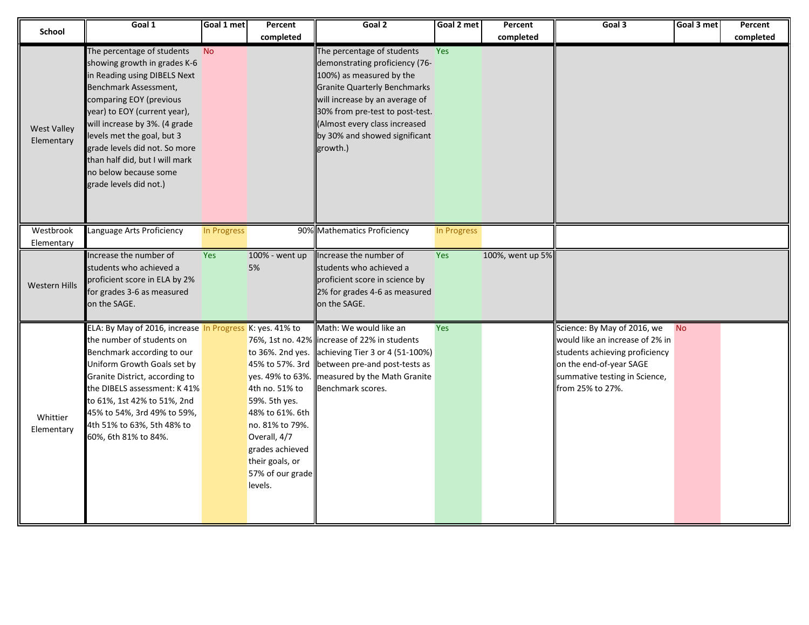| <b>School</b>                    | Goal 1                                                                                                                                                                                                                                                                                                                                                              | Goal 1 met  | Percent<br>completed                                                                                                                                                           | Goal 2                                                                                                                                                                                                                                                                             | Goal 2 met  | Percent<br>completed | Goal 3                                                                                                                                                                           | Goal 3 met | Percent<br>completed |
|----------------------------------|---------------------------------------------------------------------------------------------------------------------------------------------------------------------------------------------------------------------------------------------------------------------------------------------------------------------------------------------------------------------|-------------|--------------------------------------------------------------------------------------------------------------------------------------------------------------------------------|------------------------------------------------------------------------------------------------------------------------------------------------------------------------------------------------------------------------------------------------------------------------------------|-------------|----------------------|----------------------------------------------------------------------------------------------------------------------------------------------------------------------------------|------------|----------------------|
| <b>West Valley</b><br>Elementary | The percentage of students<br>showing growth in grades K-6<br>in Reading using DIBELS Next<br>Benchmark Assessment,<br>comparing EOY (previous<br>year) to EOY (current year),<br>will increase by 3%. (4 grade<br>levels met the goal, but 3<br>grade levels did not. So more<br>than half did, but I will mark<br>no below because some<br>grade levels did not.) | <b>No</b>   |                                                                                                                                                                                | The percentage of students<br>demonstrating proficiency (76-<br>100%) as measured by the<br><b>Granite Quarterly Benchmarks</b><br>will increase by an average of<br>30% from pre-test to post-test.<br>(Almost every class increased<br>by 30% and showed significant<br>growth.) | <b>Yes</b>  |                      |                                                                                                                                                                                  |            |                      |
| Westbrook<br>Elementary          | Language Arts Proficiency                                                                                                                                                                                                                                                                                                                                           | In Progress |                                                                                                                                                                                | 90% Mathematics Proficiency                                                                                                                                                                                                                                                        | In Progress |                      |                                                                                                                                                                                  |            |                      |
| <b>Western Hills</b>             | Increase the number of<br>students who achieved a<br>proficient score in ELA by 2%<br>for grades 3-6 as measured<br>on the SAGE.                                                                                                                                                                                                                                    | Yes         | 100% - went up<br>5%                                                                                                                                                           | Increase the number of<br>students who achieved a<br>proficient score in science by<br>2% for grades 4-6 as measured<br>on the SAGE.                                                                                                                                               | Yes         | 100%, went up 5%     |                                                                                                                                                                                  |            |                      |
| Whittier<br>Elementary           | ELA: By May of 2016, increase In Progress K: yes. 41% to<br>the number of students on<br>Benchmark according to our<br>Uniform Growth Goals set by<br>Granite District, according to<br>the DIBELS assessment: K 41%<br>to 61%, 1st 42% to 51%, 2nd<br>45% to 54%, 3rd 49% to 59%,<br>4th 51% to 63%, 5th 48% to<br>60%, 6th 81% to 84%.                            |             | to 36%. 2nd yes.<br>4th no. 51% to<br>59%. 5th yes.<br>48% to 61%. 6th<br>no. 81% to 79%.<br>Overall, 4/7<br>grades achieved<br>their goals, or<br>57% of our grade<br>levels. | Math: We would like an<br>76%, 1st no. 42% increase of 22% in students<br>achieving Tier 3 or 4 (51-100%)<br>45% to 57%. 3rd between pre-and post-tests as<br>yes. 49% to 63%. measured by the Math Granite<br>Benchmark scores.                                                   | Yes         |                      | Science: By May of 2016, we<br>would like an increase of 2% in<br>students achieving proficiency<br>on the end-of-year SAGE<br>summative testing in Science,<br>from 25% to 27%. | <b>No</b>  |                      |